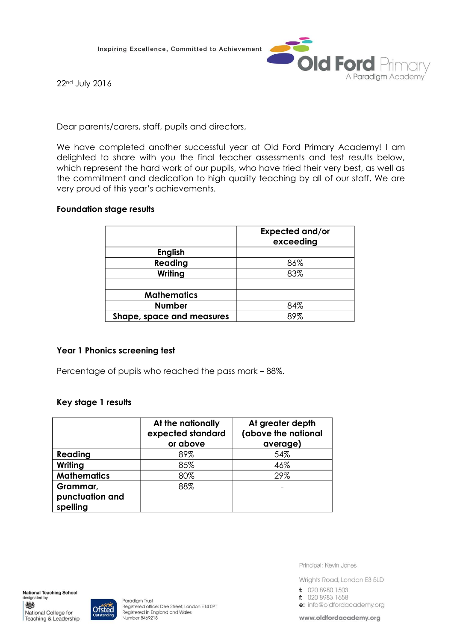Inspiring Excellence, Committed to Achievement



22nd July 2016

Dear parents/carers, staff, pupils and directors,

We have completed another successful year at Old Ford Primary Academy! I am delighted to share with you the final teacher assessments and test results below, which represent the hard work of our pupils, who have tried their very best, as well as the commitment and dedication to high quality teaching by all of our staff. We are very proud of this year's achievements.

## **Foundation stage results**

|                           | <b>Expected and/or</b><br>exceeding |
|---------------------------|-------------------------------------|
| <b>English</b>            |                                     |
| Reading                   | 86%                                 |
| Writing                   | 83%                                 |
|                           |                                     |
| <b>Mathematics</b>        |                                     |
| <b>Number</b>             | 84%                                 |
| Shape, space and measures | 89%                                 |

# **Year 1 Phonics screening test**

Percentage of pupils who reached the pass mark – 88%.

### **Key stage 1 results**

|                             | At the nationally<br>expected standard<br>or above | At greater depth<br>(above the national<br>average) |
|-----------------------------|----------------------------------------------------|-----------------------------------------------------|
| Reading                     | 89%                                                | 54%                                                 |
| Writing                     | 85%                                                | 46%                                                 |
| <b>Mathematics</b>          | 80%                                                | 29%                                                 |
| Grammar,                    | 88%                                                |                                                     |
| punctuation and<br>spelling |                                                    |                                                     |

**National Teaching School** designated by 戀 National College for

Teaching & Leadership



Principal: Kevin Jones

Wrights Road, London E3 5LD

- t: 020 8980 1503
- f: 020 8983 1658
- e: info@oldfordacademy.org

www.oldfordacademy.org